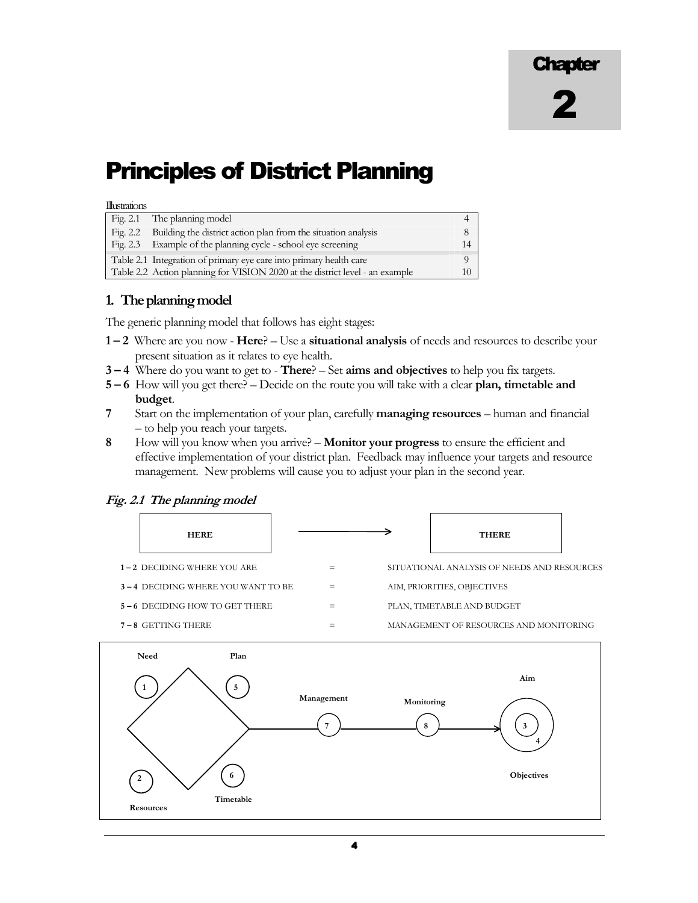# Principles of District Planning

#### Illustrations

| Fig. 2.1 The planning model                                                  |  |
|------------------------------------------------------------------------------|--|
| Fig. 2.2 Building the district action plan from the situation analysis       |  |
| Fig. 2.3 Example of the planning cycle - school eye screening                |  |
| Table 2.1 Integration of primary eye care into primary health care           |  |
| Table 2.2 Action planning for VISION 2020 at the district level - an example |  |

# 1. The planning model

The generic planning model that follows has eight stages:

- 1 2 Where are you now Here? Use a situational analysis of needs and resources to describe your present situation as it relates to eye health.
- 3 4 Where do you want to get to There? Set aims and objectives to help you fix targets.
- 5 6 How will you get there? Decide on the route you will take with a clear plan, timetable and budget.
- 7 Start on the implementation of your plan, carefully managing resources human and financial – to help you reach your targets.
- 8 How will you know when you arrive? Monitor your progress to ensure the efficient and effective implementation of your district plan. Feedback may influence your targets and resource management. New problems will cause you to adjust your plan in the second year.

#### Fig. 2.1 The planning model



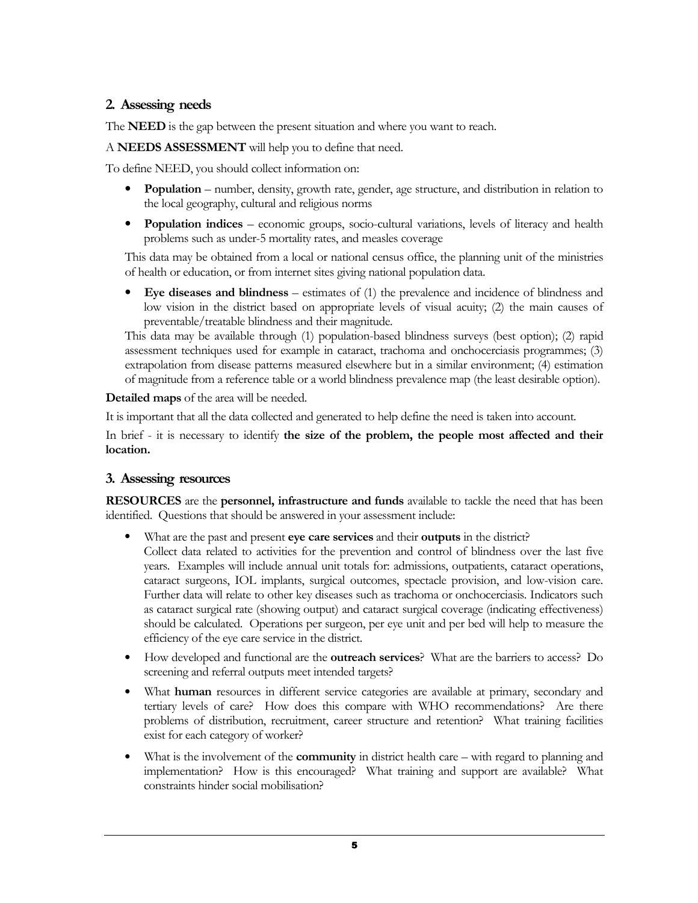# 2. Assessing needs

The **NEED** is the gap between the present situation and where you want to reach.

A NEEDS ASSESSMENT will help you to define that need.

To define NEED, you should collect information on:

- Population number, density, growth rate, gender, age structure, and distribution in relation to the local geography, cultural and religious norms
- Population indices economic groups, socio-cultural variations, levels of literacy and health problems such as under-5 mortality rates, and measles coverage

This data may be obtained from a local or national census office, the planning unit of the ministries of health or education, or from internet sites giving national population data.

• Eye diseases and blindness – estimates of (1) the prevalence and incidence of blindness and low vision in the district based on appropriate levels of visual acuity; (2) the main causes of preventable/treatable blindness and their magnitude.

This data may be available through (1) population-based blindness surveys (best option); (2) rapid assessment techniques used for example in cataract, trachoma and onchocerciasis programmes; (3) extrapolation from disease patterns measured elsewhere but in a similar environment; (4) estimation of magnitude from a reference table or a world blindness prevalence map (the least desirable option).

Detailed maps of the area will be needed.

It is important that all the data collected and generated to help define the need is taken into account.

In brief - it is necessary to identify the size of the problem, the people most affected and their location.

## 3. Assessing resources

RESOURCES are the personnel, infrastructure and funds available to tackle the need that has been identified. Questions that should be answered in your assessment include:

- What are the past and present eye care services and their outputs in the district? Collect data related to activities for the prevention and control of blindness over the last five years. Examples will include annual unit totals for: admissions, outpatients, cataract operations, cataract surgeons, IOL implants, surgical outcomes, spectacle provision, and low-vision care. Further data will relate to other key diseases such as trachoma or onchocerciasis. Indicators such as cataract surgical rate (showing output) and cataract surgical coverage (indicating effectiveness) should be calculated. Operations per surgeon, per eye unit and per bed will help to measure the efficiency of the eye care service in the district.
- How developed and functional are the outreach services? What are the barriers to access? Do screening and referral outputs meet intended targets?
- What human resources in different service categories are available at primary, secondary and tertiary levels of care? How does this compare with WHO recommendations? Are there problems of distribution, recruitment, career structure and retention? What training facilities exist for each category of worker?
- What is the involvement of the **community** in district health care with regard to planning and implementation? How is this encouraged? What training and support are available? What constraints hinder social mobilisation?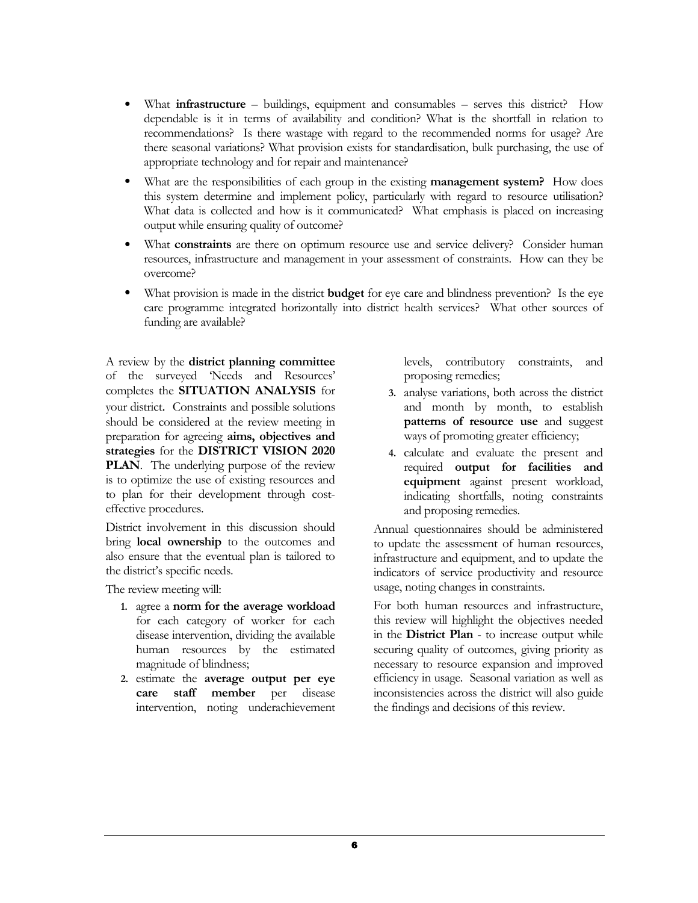- What **infrastructure** buildings, equipment and consumables serves this district? How dependable is it in terms of availability and condition? What is the shortfall in relation to recommendations? Is there wastage with regard to the recommended norms for usage? Are there seasonal variations? What provision exists for standardisation, bulk purchasing, the use of appropriate technology and for repair and maintenance?
- What are the responsibilities of each group in the existing management system? How does this system determine and implement policy, particularly with regard to resource utilisation? What data is collected and how is it communicated? What emphasis is placed on increasing output while ensuring quality of outcome?
- What constraints are there on optimum resource use and service delivery? Consider human resources, infrastructure and management in your assessment of constraints. How can they be overcome?
- What provision is made in the district **budget** for eye care and blindness prevention? Is the eye care programme integrated horizontally into district health services? What other sources of funding are available?

A review by the district planning committee of the surveyed 'Needs and Resources' completes the SITUATION ANALYSIS for your district. Constraints and possible solutions should be considered at the review meeting in preparation for agreeing aims, objectives and strategies for the DISTRICT VISION 2020 **PLAN**. The underlying purpose of the review is to optimize the use of existing resources and to plan for their development through costeffective procedures.

District involvement in this discussion should bring local ownership to the outcomes and also ensure that the eventual plan is tailored to the district's specific needs.

The review meeting will:

- 1. agree a norm for the average workload for each category of worker for each disease intervention, dividing the available human resources by the estimated magnitude of blindness;
- 2. estimate the average output per eye care staff member per disease intervention, noting underachievement

levels, contributory constraints, and proposing remedies;

- 3. analyse variations, both across the district and month by month, to establish patterns of resource use and suggest ways of promoting greater efficiency;
- 4. calculate and evaluate the present and required output for facilities and equipment against present workload, indicating shortfalls, noting constraints and proposing remedies.

Annual questionnaires should be administered to update the assessment of human resources, infrastructure and equipment, and to update the indicators of service productivity and resource usage, noting changes in constraints.

For both human resources and infrastructure, this review will highlight the objectives needed in the District Plan - to increase output while securing quality of outcomes, giving priority as necessary to resource expansion and improved efficiency in usage. Seasonal variation as well as inconsistencies across the district will also guide the findings and decisions of this review.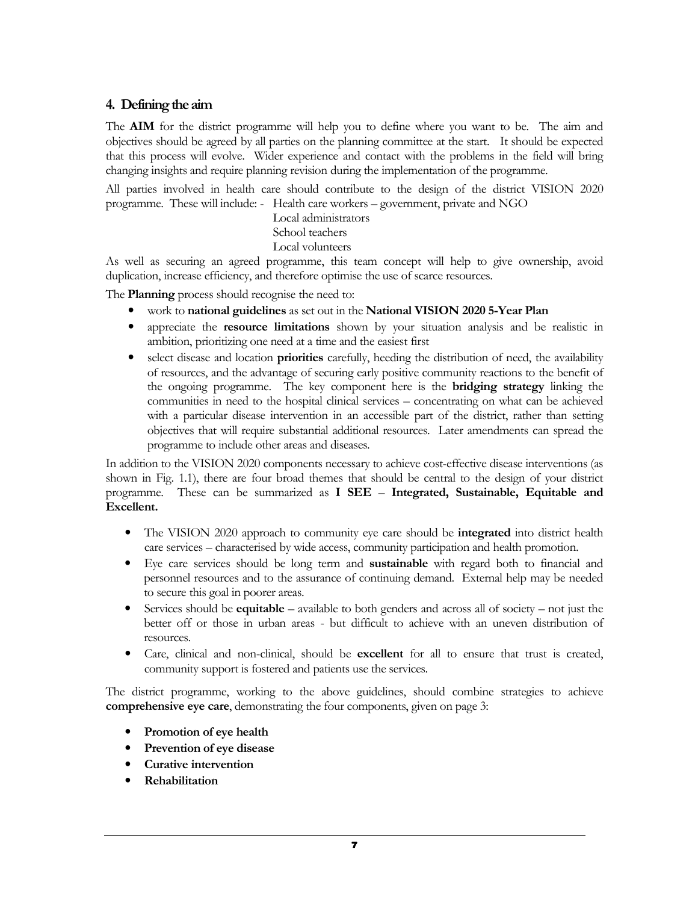# 4. Defining the aim

The AIM for the district programme will help you to define where you want to be. The aim and objectives should be agreed by all parties on the planning committee at the start. It should be expected that this process will evolve. Wider experience and contact with the problems in the field will bring changing insights and require planning revision during the implementation of the programme.

All parties involved in health care should contribute to the design of the district VISION 2020 programme. These will include: - Health care workers – government, private and NGO

Local administrators

# School teachers

# Local volunteers

As well as securing an agreed programme, this team concept will help to give ownership, avoid duplication, increase efficiency, and therefore optimise the use of scarce resources.

The **Planning** process should recognise the need to:

- work to national guidelines as set out in the National VISION 2020 5-Year Plan
- appreciate the resource limitations shown by your situation analysis and be realistic in ambition, prioritizing one need at a time and the easiest first
- select disease and location priorities carefully, heeding the distribution of need, the availability of resources, and the advantage of securing early positive community reactions to the benefit of the ongoing programme. The key component here is the bridging strategy linking the communities in need to the hospital clinical services – concentrating on what can be achieved with a particular disease intervention in an accessible part of the district, rather than setting objectives that will require substantial additional resources. Later amendments can spread the programme to include other areas and diseases.

In addition to the VISION 2020 components necessary to achieve cost-effective disease interventions (as shown in Fig. 1.1), there are four broad themes that should be central to the design of your district programme. These can be summarized as I SEE – Integrated, Sustainable, Equitable and Excellent.

- The VISION 2020 approach to community eye care should be **integrated** into district health care services – characterised by wide access, community participation and health promotion.
- Eye care services should be long term and sustainable with regard both to financial and personnel resources and to the assurance of continuing demand. External help may be needed to secure this goal in poorer areas.
- Services should be **equitable** available to both genders and across all of society not just the better off or those in urban areas - but difficult to achieve with an uneven distribution of resources.
- Care, clinical and non-clinical, should be **excellent** for all to ensure that trust is created, community support is fostered and patients use the services.

The district programme, working to the above guidelines, should combine strategies to achieve comprehensive eye care, demonstrating the four components, given on page 3:

- Promotion of eye health
- Prevention of eye disease
- Curative intervention
- Rehabilitation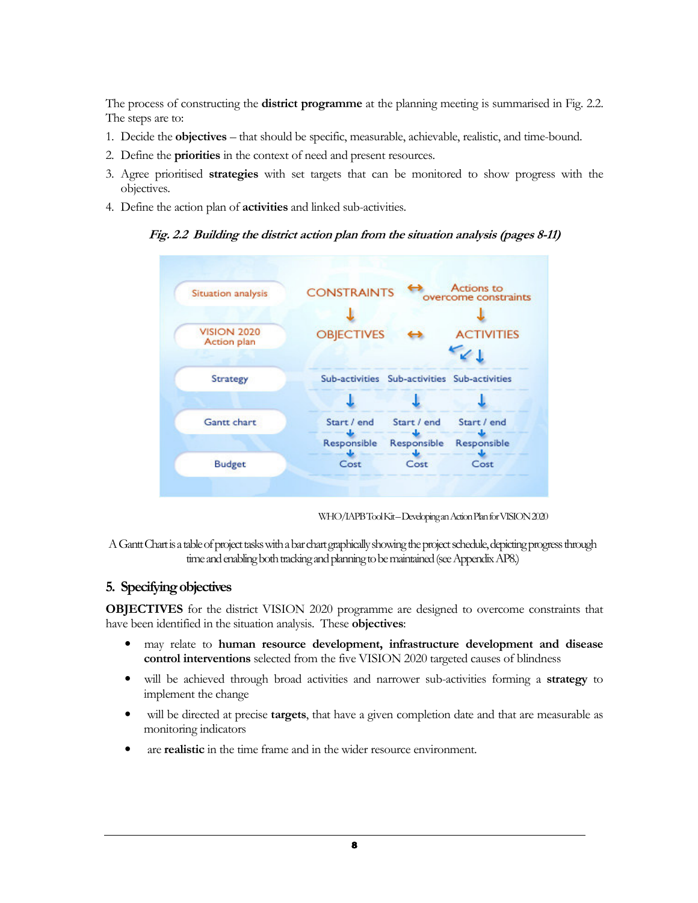The process of constructing the **district programme** at the planning meeting is summarised in Fig. 2.2. The steps are to:

- 1. Decide the objectives that should be specific, measurable, achievable, realistic, and time-bound.
- 2. Define the priorities in the context of need and present resources.
- 3. Agree prioritised strategies with set targets that can be monitored to show progress with the objectives.
- 4. Define the action plan of activities and linked sub-activities.

#### Fig. 2.2 Building the district action plan from the situation analysis (pages 8-11)



WHO/IAPB Tool Kit – Developing an Action Plan for VISION 2020

A Gantt Chart is a table of project tasks with a bar chart graphically showing the project schedule, depicting progress through time and enabling both tracking and planning to be maintained (see Appendix AP8.)

## 5. Specifying objectives

OBJECTIVES for the district VISION 2020 programme are designed to overcome constraints that have been identified in the situation analysis. These objectives:

- may relate to human resource development, infrastructure development and disease control interventions selected from the five VISION 2020 targeted causes of blindness
- will be achieved through broad activities and narrower sub-activities forming a strategy to implement the change
- will be directed at precise targets, that have a given completion date and that are measurable as monitoring indicators
- are realistic in the time frame and in the wider resource environment.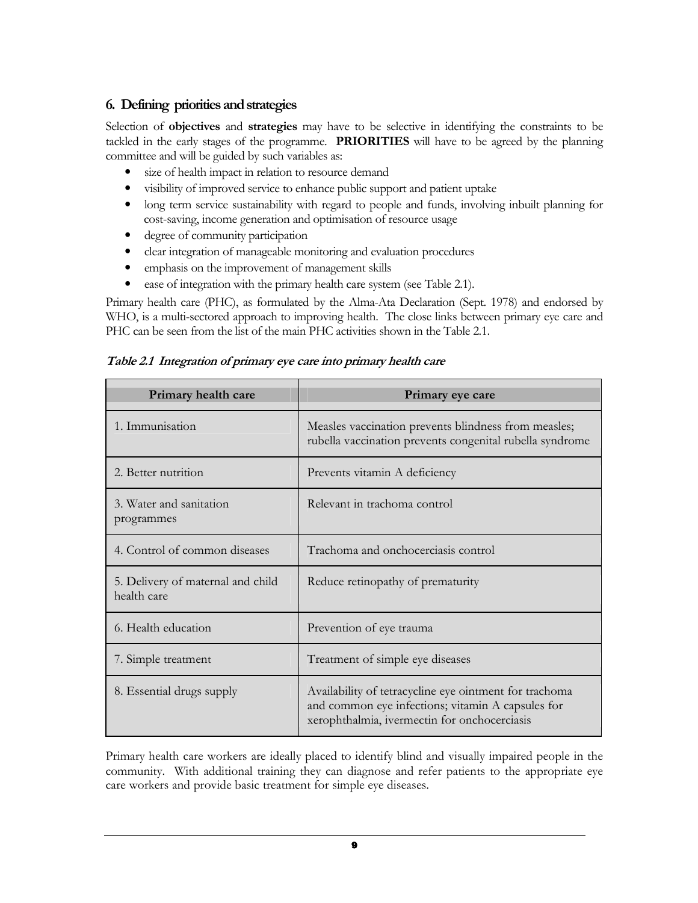# 6. Defining priorities and strategies

Selection of objectives and strategies may have to be selective in identifying the constraints to be tackled in the early stages of the programme. PRIORITIES will have to be agreed by the planning committee and will be guided by such variables as:

- size of health impact in relation to resource demand
- visibility of improved service to enhance public support and patient uptake
- long term service sustainability with regard to people and funds, involving inbuilt planning for cost-saving, income generation and optimisation of resource usage
- degree of community participation
- clear integration of manageable monitoring and evaluation procedures
- emphasis on the improvement of management skills
- ease of integration with the primary health care system (see Table 2.1).

Primary health care (PHC), as formulated by the Alma-Ata Declaration (Sept. 1978) and endorsed by WHO, is a multi-sectored approach to improving health. The close links between primary eye care and PHC can be seen from the list of the main PHC activities shown in the Table 2.1.

| Primary health care                              | Primary eye care                                                                                                                                            |  |  |  |
|--------------------------------------------------|-------------------------------------------------------------------------------------------------------------------------------------------------------------|--|--|--|
| 1. Immunisation                                  | Measles vaccination prevents blindness from measles;<br>rubella vaccination prevents congenital rubella syndrome                                            |  |  |  |
| 2. Better nutrition                              | Prevents vitamin A deficiency                                                                                                                               |  |  |  |
| 3. Water and sanitation<br>programmes            | Relevant in trachoma control                                                                                                                                |  |  |  |
| 4. Control of common diseases                    | Trachoma and onchocerciasis control                                                                                                                         |  |  |  |
| 5. Delivery of maternal and child<br>health care | Reduce retinopathy of prematurity                                                                                                                           |  |  |  |
| 6. Health education                              | Prevention of eye trauma                                                                                                                                    |  |  |  |
| 7. Simple treatment                              | Treatment of simple eye diseases                                                                                                                            |  |  |  |
| 8. Essential drugs supply                        | Availability of tetracycline eye ointment for trachoma<br>and common eye infections; vitamin A capsules for<br>xerophthalmia, ivermectin for onchocerciasis |  |  |  |

Table 2.1 Integration of primary eye care into primary health care

Primary health care workers are ideally placed to identify blind and visually impaired people in the community. With additional training they can diagnose and refer patients to the appropriate eye care workers and provide basic treatment for simple eye diseases.

9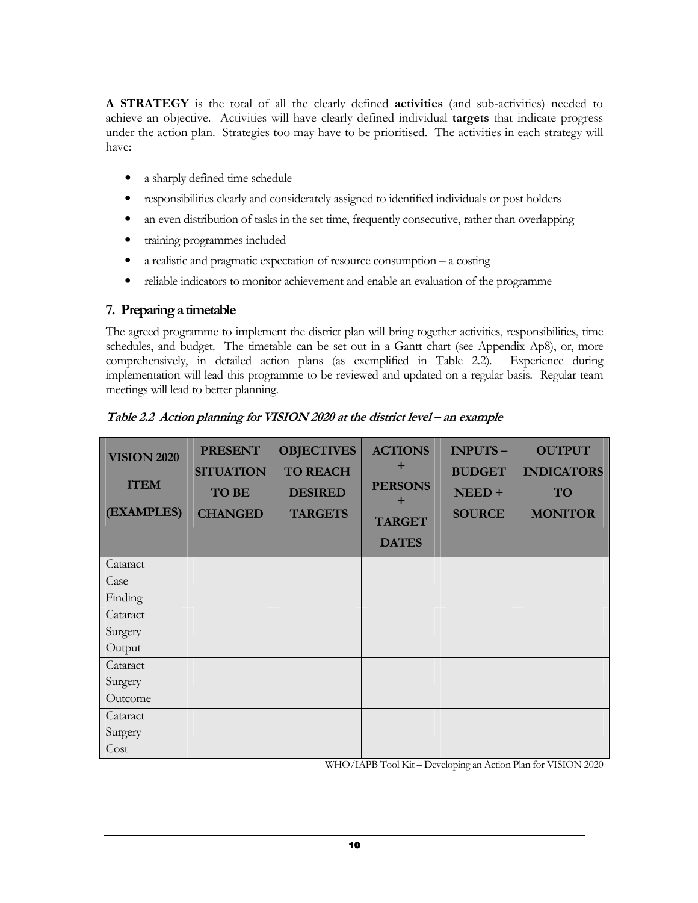A STRATEGY is the total of all the clearly defined activities (and sub-activities) needed to achieve an objective. Activities will have clearly defined individual targets that indicate progress under the action plan. Strategies too may have to be prioritised. The activities in each strategy will have:

- a sharply defined time schedule
- responsibilities clearly and considerately assigned to identified individuals or post holders
- an even distribution of tasks in the set time, frequently consecutive, rather than overlapping
- training programmes included
- a realistic and pragmatic expectation of resource consumption  $-$  a costing
- reliable indicators to monitor achievement and enable an evaluation of the programme

# 7. Preparing a timetable

The agreed programme to implement the district plan will bring together activities, responsibilities, time schedules, and budget. The timetable can be set out in a Gantt chart (see Appendix Ap8), or, more comprehensively, in detailed action plans (as exemplified in Table 2.2). Experience during implementation will lead this programme to be reviewed and updated on a regular basis. Regular team meetings will lead to better planning.

| <b>VISION 2020</b><br><b>ITEM</b><br>(EXAMPLES) | <b>PRESENT</b><br><b>SITUATION</b><br><b>TO BE</b><br><b>CHANGED</b> | <b>OBJECTIVES</b><br><b>TO REACH</b><br><b>DESIRED</b><br><b>TARGETS</b> | <b>ACTIONS</b><br>٠<br><b>PERSONS</b><br>÷<br><b>TARGET</b><br><b>DATES</b> | INPUTS-<br><b>BUDGET</b><br>NEED+<br><b>SOURCE</b> | <b>OUTPUT</b><br><b>INDICATORS</b><br>TO<br><b>MONITOR</b> |
|-------------------------------------------------|----------------------------------------------------------------------|--------------------------------------------------------------------------|-----------------------------------------------------------------------------|----------------------------------------------------|------------------------------------------------------------|
| Cataract                                        |                                                                      |                                                                          |                                                                             |                                                    |                                                            |
| Case                                            |                                                                      |                                                                          |                                                                             |                                                    |                                                            |
| Finding                                         |                                                                      |                                                                          |                                                                             |                                                    |                                                            |
| Cataract                                        |                                                                      |                                                                          |                                                                             |                                                    |                                                            |
| Surgery                                         |                                                                      |                                                                          |                                                                             |                                                    |                                                            |
| Output                                          |                                                                      |                                                                          |                                                                             |                                                    |                                                            |
| Cataract                                        |                                                                      |                                                                          |                                                                             |                                                    |                                                            |
| Surgery                                         |                                                                      |                                                                          |                                                                             |                                                    |                                                            |
| Outcome                                         |                                                                      |                                                                          |                                                                             |                                                    |                                                            |
| Cataract                                        |                                                                      |                                                                          |                                                                             |                                                    |                                                            |
| Surgery                                         |                                                                      |                                                                          |                                                                             |                                                    |                                                            |
| Cost                                            |                                                                      |                                                                          |                                                                             |                                                    |                                                            |

Table 2.2 Action planning for VISION 2020 at the district level – an example

WHO/IAPB Tool Kit – Developing an Action Plan for VISION 2020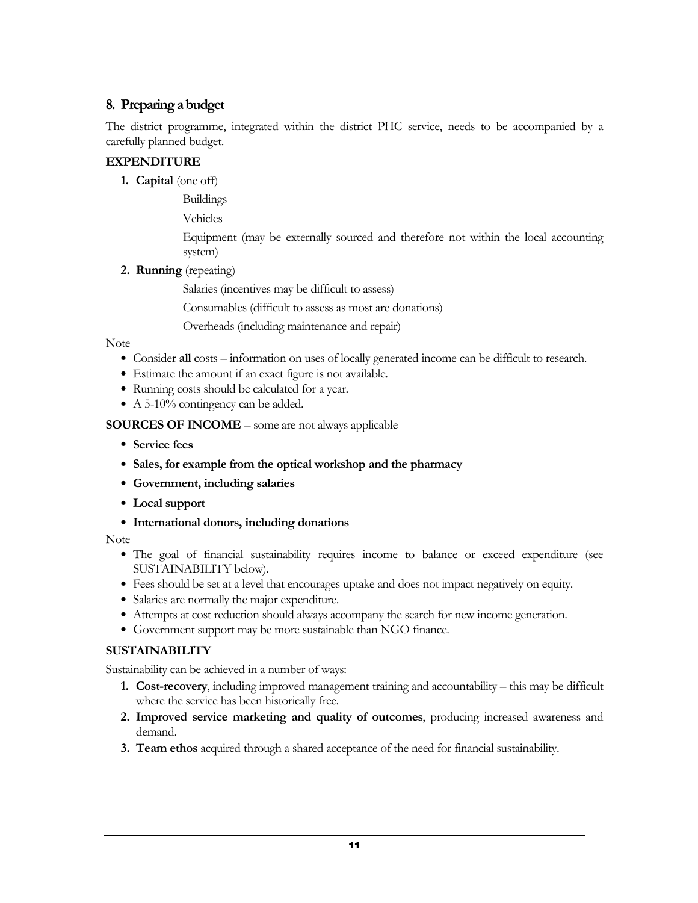# 8. Preparing a budget

The district programme, integrated within the district PHC service, needs to be accompanied by a carefully planned budget.

# EXPENDITURE

1. Capital (one off)

Buildings

Vehicles

Equipment (may be externally sourced and therefore not within the local accounting system)

2. Running (repeating)

Salaries (incentives may be difficult to assess)

Consumables (difficult to assess as most are donations)

Overheads (including maintenance and repair)

## Note

- Consider all costs information on uses of locally generated income can be difficult to research.
- Estimate the amount if an exact figure is not available.
- Running costs should be calculated for a year.
- A 5-10% contingency can be added.

SOURCES OF INCOME – some are not always applicable

- Service fees
- Sales, for example from the optical workshop and the pharmacy
- Government, including salaries
- Local support
- International donors, including donations

Note

- The goal of financial sustainability requires income to balance or exceed expenditure (see SUSTAINABILITY below).
- Fees should be set at a level that encourages uptake and does not impact negatively on equity.
- Salaries are normally the major expenditure.
- Attempts at cost reduction should always accompany the search for new income generation.
- Government support may be more sustainable than NGO finance.

## SUSTAINABILITY

Sustainability can be achieved in a number of ways:

- 1. Cost-recovery, including improved management training and accountability this may be difficult where the service has been historically free.
- 2. Improved service marketing and quality of outcomes, producing increased awareness and demand.
- 3. Team ethos acquired through a shared acceptance of the need for financial sustainability.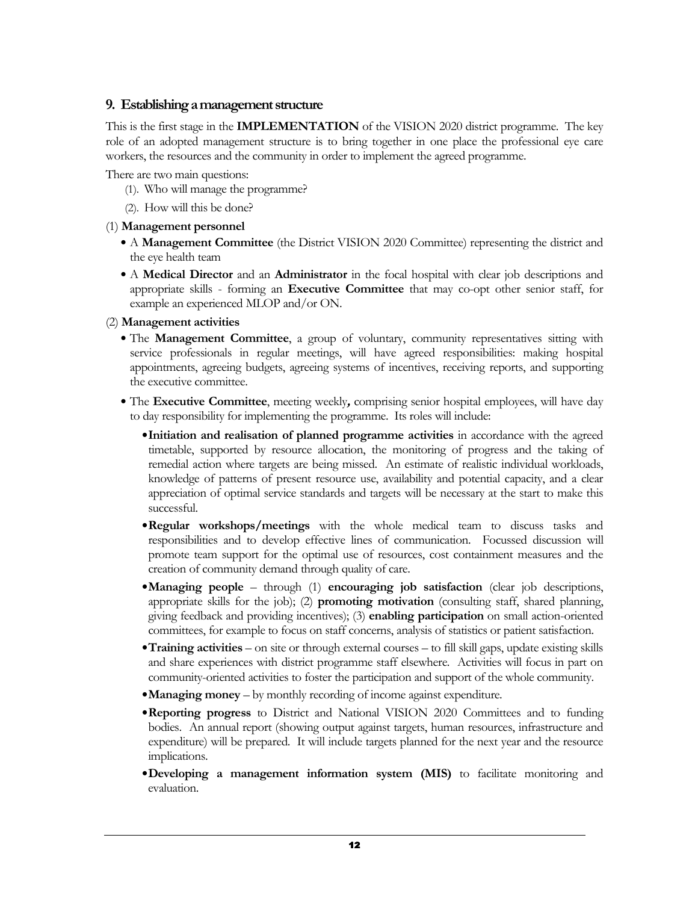# 9. Establishing a management structure

This is the first stage in the **IMPLEMENTATION** of the VISION 2020 district programme. The key role of an adopted management structure is to bring together in one place the professional eye care workers, the resources and the community in order to implement the agreed programme.

There are two main questions:

- (1). Who will manage the programme?
- (2). How will this be done?

## (1) Management personnel

- A Management Committee (the District VISION 2020 Committee) representing the district and the eye health team
- A Medical Director and an Administrator in the focal hospital with clear job descriptions and appropriate skills - forming an Executive Committee that may co-opt other senior staff, for example an experienced MLOP and/or ON.

## (2) Management activities

- The Management Committee, a group of voluntary, community representatives sitting with service professionals in regular meetings, will have agreed responsibilities: making hospital appointments, agreeing budgets, agreeing systems of incentives, receiving reports, and supporting the executive committee.
- The Executive Committee, meeting weekly, comprising senior hospital employees, will have day to day responsibility for implementing the programme. Its roles will include:
	- Initiation and realisation of planned programme activities in accordance with the agreed timetable, supported by resource allocation, the monitoring of progress and the taking of remedial action where targets are being missed. An estimate of realistic individual workloads, knowledge of patterns of present resource use, availability and potential capacity, and a clear appreciation of optimal service standards and targets will be necessary at the start to make this successful.
	- Regular workshops/meetings with the whole medical team to discuss tasks and responsibilities and to develop effective lines of communication. Focussed discussion will promote team support for the optimal use of resources, cost containment measures and the creation of community demand through quality of care.
	- Managing people through (1) encouraging job satisfaction (clear job descriptions, appropriate skills for the job); (2) promoting motivation (consulting staff, shared planning, giving feedback and providing incentives); (3) enabling participation on small action-oriented committees, for example to focus on staff concerns, analysis of statistics or patient satisfaction.
	- Training activities on site or through external courses to fill skill gaps, update existing skills and share experiences with district programme staff elsewhere. Activities will focus in part on community-oriented activities to foster the participation and support of the whole community.
	- Managing money by monthly recording of income against expenditure.
	- Reporting progress to District and National VISION 2020 Committees and to funding bodies. An annual report (showing output against targets, human resources, infrastructure and expenditure) will be prepared. It will include targets planned for the next year and the resource implications.
	- Developing a management information system (MIS) to facilitate monitoring and evaluation.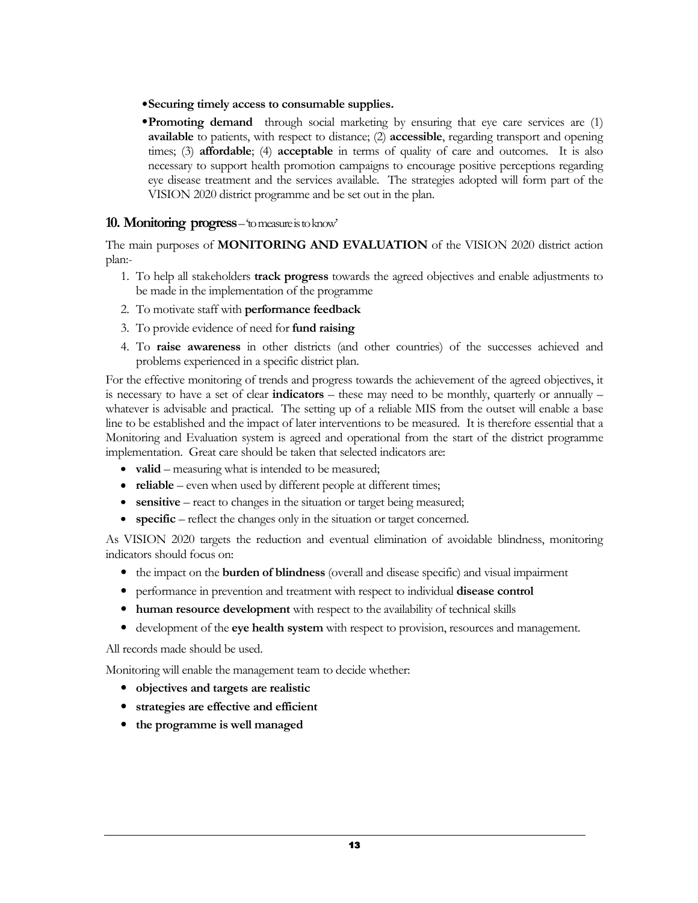- Securing timely access to consumable supplies.
- Promoting demand through social marketing by ensuring that eye care services are (1) available to patients, with respect to distance; (2) accessible, regarding transport and opening times; (3) **affordable**; (4) **acceptable** in terms of quality of care and outcomes. It is also necessary to support health promotion campaigns to encourage positive perceptions regarding eye disease treatment and the services available. The strategies adopted will form part of the VISION 2020 district programme and be set out in the plan.

# 10. Monitoring progress – 'to measure is to know'

The main purposes of MONITORING AND EVALUATION of the VISION 2020 district action plan:-

- 1. To help all stakeholders **track progress** towards the agreed objectives and enable adjustments to be made in the implementation of the programme
- 2. To motivate staff with performance feedback
- 3. To provide evidence of need for fund raising
- 4. To raise awareness in other districts (and other countries) of the successes achieved and problems experienced in a specific district plan.

For the effective monitoring of trends and progress towards the achievement of the agreed objectives, it is necessary to have a set of clear **indicators** – these may need to be monthly, quarterly or annually – whatever is advisable and practical. The setting up of a reliable MIS from the outset will enable a base line to be established and the impact of later interventions to be measured. It is therefore essential that a Monitoring and Evaluation system is agreed and operational from the start of the district programme implementation. Great care should be taken that selected indicators are:

- valid measuring what is intended to be measured;
- reliable even when used by different people at different times;
- sensitive react to changes in the situation or target being measured;
- specific reflect the changes only in the situation or target concerned.

As VISION 2020 targets the reduction and eventual elimination of avoidable blindness, monitoring indicators should focus on:

- the impact on the **burden of blindness** (overall and disease specific) and visual impairment
- performance in prevention and treatment with respect to individual disease control
- human resource development with respect to the availability of technical skills
- development of the eye health system with respect to provision, resources and management.

All records made should be used.

Monitoring will enable the management team to decide whether:

- objectives and targets are realistic
- strategies are effective and efficient
- the programme is well managed